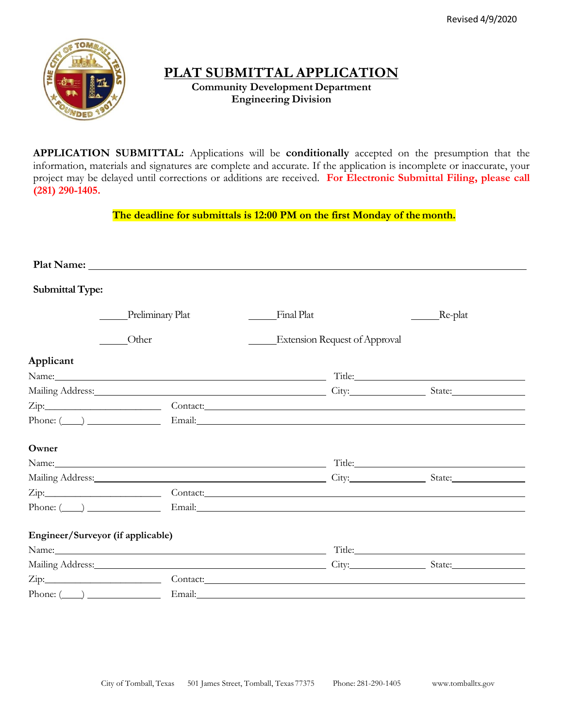

# **PLAT SUBMITTAL APPLICATION**

**Community Development Department Engineering Division**

**APPLICATION SUBMITTAL:** Applications will be **conditionally** accepted on the presumption that the information, materials and signatures are complete and accurate. If the application is incomplete or inaccurate, your project may be delayed until corrections or additions are received. **For Electronic Submittal Filing, please call (281) 290-1405.**

**The deadline for submittals is 12:00 PM on the first Monday of the month.**

| <b>Submittal Type:</b>            |                  |                                      |                                                                                                                                                                                                                                |
|-----------------------------------|------------------|--------------------------------------|--------------------------------------------------------------------------------------------------------------------------------------------------------------------------------------------------------------------------------|
|                                   | Preliminary Plat | Final Plat                           | _Re-plat                                                                                                                                                                                                                       |
| Other                             |                  | <b>Extension Request of Approval</b> |                                                                                                                                                                                                                                |
| Applicant                         |                  |                                      |                                                                                                                                                                                                                                |
| Name: Title: Title:               |                  |                                      |                                                                                                                                                                                                                                |
|                                   |                  |                                      | Mailing Address: State: State: State: State: State: State: State: State: State: State: State: State: State: State: State: State: State: State: State: State: State: State: State: State: State: State: State: State: State: St |
|                                   |                  |                                      |                                                                                                                                                                                                                                |
| Phone: $(\_\_\)$ Email:           |                  |                                      |                                                                                                                                                                                                                                |
| Owner                             |                  |                                      |                                                                                                                                                                                                                                |
|                                   |                  |                                      | Title: The Commission of the Commission of the Commission of the Commission of the Commission of the Commission                                                                                                                |
|                                   |                  |                                      |                                                                                                                                                                                                                                |
|                                   |                  |                                      |                                                                                                                                                                                                                                |
| $Phone: (\_\_)$ $\_\_$ $Email:$   |                  |                                      |                                                                                                                                                                                                                                |
| Engineer/Surveyor (if applicable) |                  |                                      |                                                                                                                                                                                                                                |
|                                   |                  |                                      | Name: Title: Title:                                                                                                                                                                                                            |
|                                   |                  |                                      | Mailing Address: State: State: State: State: State: State: State: State: State: State: State: State: State: State: State: State: State: State: State: State: State: State: State: State: State: State: State: State: State: St |
|                                   |                  |                                      | Contact:                                                                                                                                                                                                                       |
| $Phone: (\_\_)$ $\_\_$ $Email:$   |                  |                                      |                                                                                                                                                                                                                                |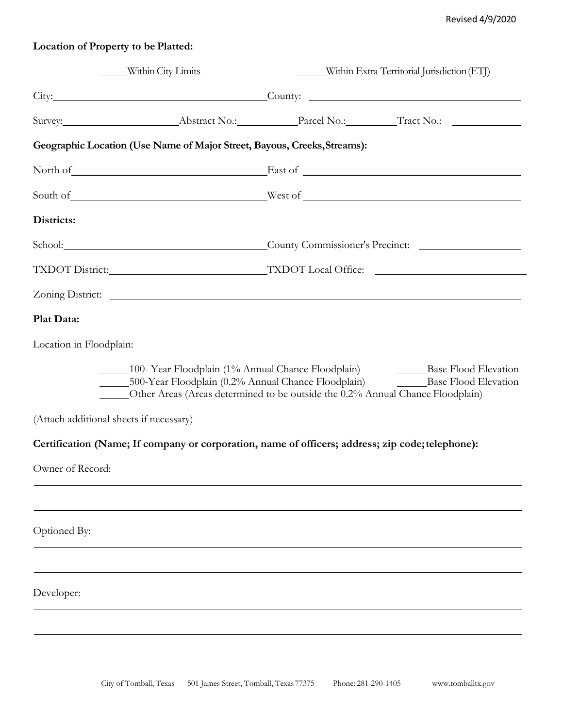# **Location of Property to be Platted:**

| Within City Limits                      |                                                                          | Within Extra Territorial Jurisdiction (ETJ)                                                                                                                                                                                          |  |  |
|-----------------------------------------|--------------------------------------------------------------------------|--------------------------------------------------------------------------------------------------------------------------------------------------------------------------------------------------------------------------------------|--|--|
|                                         |                                                                          | City: Current County: County: County: County: County: County: County: County: County: County: County: County: County: County: County: County: County: County: County: County: County: County: County: County: County: County:        |  |  |
|                                         |                                                                          |                                                                                                                                                                                                                                      |  |  |
|                                         | Geographic Location (Use Name of Major Street, Bayous, Creeks, Streams): |                                                                                                                                                                                                                                      |  |  |
|                                         |                                                                          | North of East of East of Texas and Texas and Texas and Texas and Texas and Texas and Texas and Texas and Texas and Texas and Texas and Texas and Texas and Texas and Texas and Texas and Texas and Texas and Texas and Texas a       |  |  |
|                                         |                                                                          |                                                                                                                                                                                                                                      |  |  |
| Districts:                              |                                                                          |                                                                                                                                                                                                                                      |  |  |
|                                         |                                                                          | School: County Commissioner's Precinct:                                                                                                                                                                                              |  |  |
|                                         |                                                                          |                                                                                                                                                                                                                                      |  |  |
|                                         |                                                                          |                                                                                                                                                                                                                                      |  |  |
| Plat Data:                              |                                                                          |                                                                                                                                                                                                                                      |  |  |
| Location in Floodplain:                 |                                                                          |                                                                                                                                                                                                                                      |  |  |
|                                         |                                                                          | 100-Year Floodplain (1% Annual Chance Floodplain) Base Flood Elevation<br>500-Year Floodplain (0.2% Annual Chance Floodplain) Base Flood Elevation<br>Other Areas (Areas determined to be outside the 0.2% Annual Chance Floodplain) |  |  |
| (Attach additional sheets if necessary) |                                                                          |                                                                                                                                                                                                                                      |  |  |
|                                         |                                                                          | Certification (Name; If company or corporation, name of officers; address; zip code; telephone):                                                                                                                                     |  |  |
| Owner of Record:                        |                                                                          |                                                                                                                                                                                                                                      |  |  |
|                                         |                                                                          |                                                                                                                                                                                                                                      |  |  |
| Optioned By:                            |                                                                          |                                                                                                                                                                                                                                      |  |  |
|                                         |                                                                          |                                                                                                                                                                                                                                      |  |  |
| Developer:                              |                                                                          |                                                                                                                                                                                                                                      |  |  |
|                                         |                                                                          |                                                                                                                                                                                                                                      |  |  |
|                                         |                                                                          |                                                                                                                                                                                                                                      |  |  |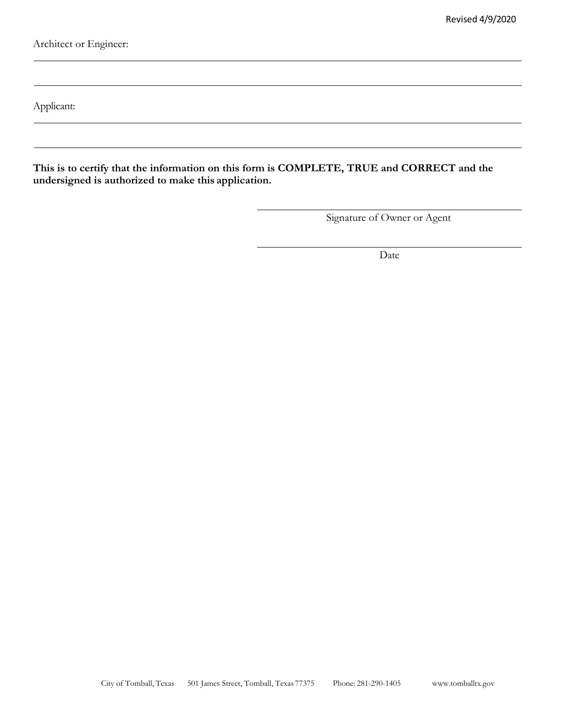Architect or Engineer:

Applicant:

**This is to certify that the information on this form is COMPLETE, TRUE and CORRECT and the undersigned is authorized to make this application.**

Signature of Owner or Agent

Date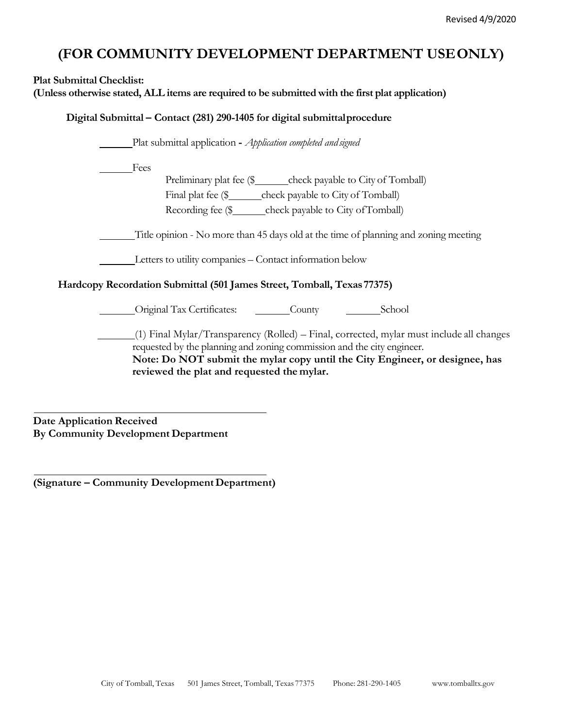# **(FOR COMMUNITY DEVELOPMENT DEPARTMENT USEONLY)**

**Plat Submittal Checklist: (Unless otherwise stated, ALL items are required to be submitted with the first plat application) Digital Submittal – Contact (281) 290-1405 for digital submittalprocedure** Plat submittal application **-** *Application completed andsigned* Fees Preliminary plat fee (\$\_\_\_\_\_\_check payable to City of Tomball) Final plat fee (\$\_\_\_\_\_\_\_ check payable to City of Tomball) Recording fee (\$ check payable to City of Tomball) Title opinion - No more than 45 days old at the time of planning and zoning meeting Letters to utility companies – Contact information below **Hardcopy Recordation Submittal (501 James Street, Tomball, Texas77375)** Original Tax Certificates: County School (1) Final Mylar/Transparency (Rolled) – Final, corrected, mylar must include all changes requested by the planning and zoning commission and the city engineer. **Note: Do NOT submit the mylar copy until the City Engineer, or designee, has reviewed the plat and requested the mylar.**

**Date Application Received By Community Development Department**

**(Signature – Community DevelopmentDepartment)**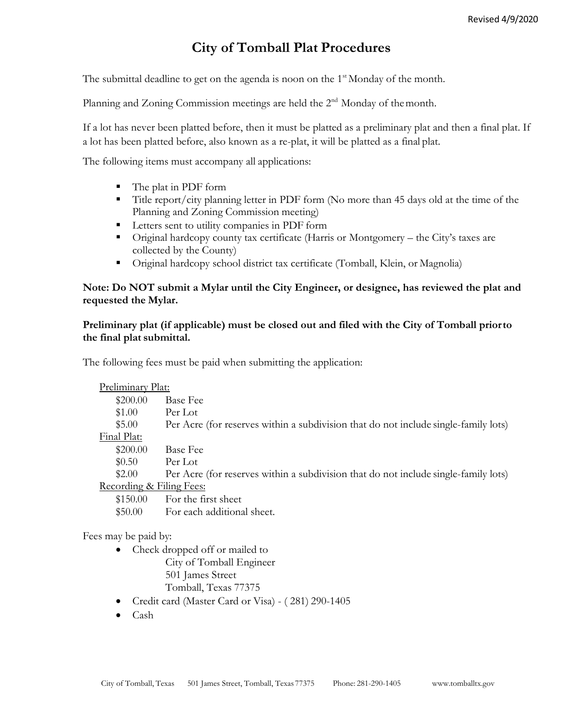# **City of Tomball Plat Procedures**

The submittal deadline to get on the agenda is noon on the  $1<sup>st</sup>$  Monday of the month.

Planning and Zoning Commission meetings are held the  $2<sup>nd</sup>$  Monday of the month.

If a lot has never been platted before, then it must be platted as a preliminary plat and then a final plat. If a lot has been platted before, also known as a re-plat, it will be platted as a final plat.

The following items must accompany all applications:

- The plat in PDF form
- Title report/city planning letter in PDF form (No more than 45 days old at the time of the Planning and Zoning Commission meeting)
- Letters sent to utility companies in PDF form
- Original hardcopy county tax certificate (Harris or Montgomery the City's taxes are collected by the County)
- Original hardcopy school district tax certificate (Tomball, Klein, or Magnolia)

# **Note: Do NOT submit a Mylar until the City Engineer, or designee, has reviewed the plat and requested the Mylar.**

# **Preliminary plat (if applicable) must be closed out and filed with the City of Tomball priorto the final plat submittal.**

The following fees must be paid when submitting the application:

| Preliminary Plat:                   |                                                                                     |
|-------------------------------------|-------------------------------------------------------------------------------------|
| \$200.00                            | <b>Base Fee</b>                                                                     |
| \$1.00                              | Per Lot                                                                             |
| \$5.00                              | Per Acre (for reserves within a subdivision that do not include single-family lots) |
| Final Plat:                         |                                                                                     |
| \$200.00                            | <b>Base Fee</b>                                                                     |
| \$0.50                              | Per Lot                                                                             |
| \$2.00                              | Per Acre (for reserves within a subdivision that do not include single-family lots) |
| <u>Recording &amp; Filing Fees:</u> |                                                                                     |
| \$150.00                            | For the first sheet                                                                 |
| \$50.00                             | For each additional sheet.                                                          |
|                                     |                                                                                     |
| $\cdots$                            |                                                                                     |

Fees may be paid by:

- Check dropped off or mailed to City of Tomball Engineer 501 James Street Tomball, Texas 77375
- Credit card (Master Card or Visa) ( 281) 290-1405
- Cash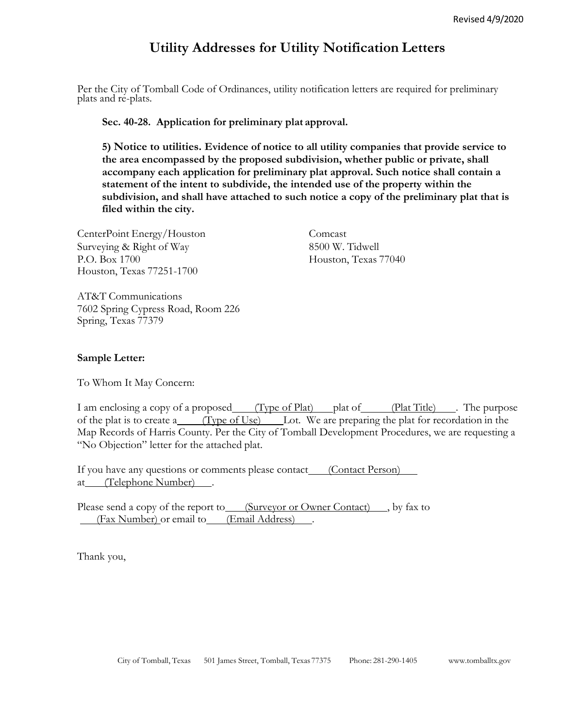# **Utility Addresses for Utility Notification Letters**

Per the City of Tomball Code of Ordinances, utility notification letters are required for preliminary plats and re-plats.

**Sec. 40-28. Application for preliminary plat approval.**

**5) Notice to utilities. Evidence of notice to all utility companies that provide service to the area encompassed by the proposed subdivision, whether public or private, shall accompany each application for preliminary plat approval. Such notice shall contain a statement of the intent to subdivide, the intended use of the property within the subdivision, and shall have attached to such notice a copy of the preliminary plat that is filed within the city.**

CenterPoint Energy/Houston Comcast Surveying & Right of Way 8500 W. Tidwell P.O. Box 1700 Houston, Texas 77040 Houston, Texas 77251-1700

AT&T Communications 7602 Spring Cypress Road, Room 226 Spring, Texas 77379

## **Sample Letter:**

To Whom It May Concern:

I am enclosing a copy of a proposed (Type of Plat) plat of (Plat Title). The purpose of the plat is to create a (Type of Use) Lot. We are preparing the plat for recordation in the Map Records of Harris County. Per the City of Tomball Development Procedures, we are requesting a "No Objection" letter for the attached plat.

If you have any questions or comments please contact\_\_\_\_(Contact Person) at (Telephone Number) .

Please send a copy of the report to (Surveyor or Owner Contact), by fax to (Fax Number) or email to (Email Address).

Thank you,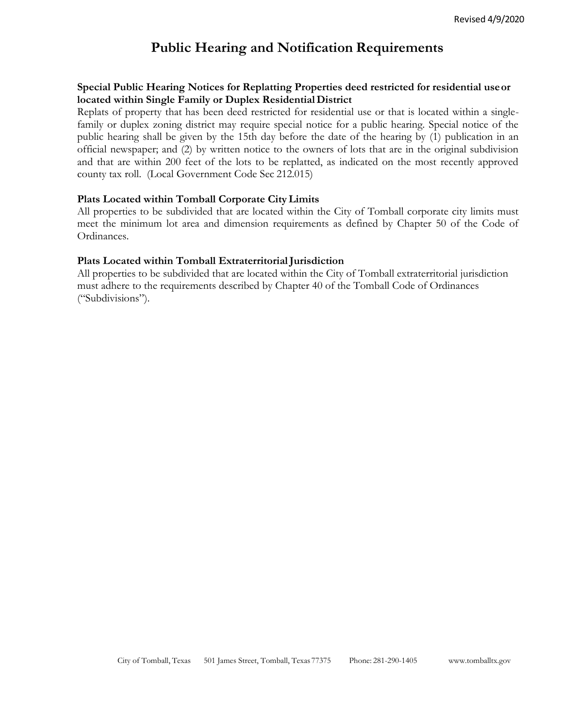# **Public Hearing and Notification Requirements**

# **Special Public Hearing Notices for Replatting Properties deed restricted for residential useor located within Single Family or Duplex ResidentialDistrict**

Replats of property that has been deed restricted for residential use or that is located within a singlefamily or duplex zoning district may require special notice for a public hearing. Special notice of the public hearing shall be given by the 15th day before the date of the hearing by (1) publication in an official newspaper; and (2) by written notice to the owners of lots that are in the original subdivision and that are within 200 feet of the lots to be replatted, as indicated on the most recently approved county tax roll. (Local Government Code Sec 212.015)

## **Plats Located within Tomball Corporate CityLimits**

All properties to be subdivided that are located within the City of Tomball corporate city limits must meet the minimum lot area and dimension requirements as defined by Chapter 50 of the Code of Ordinances.

## Plats Located within Tomball Extraterritorial Jurisdiction

All properties to be subdivided that are located within the City of Tomball extraterritorial jurisdiction must adhere to the requirements described by Chapter 40 of the Tomball Code of Ordinances ("Subdivisions").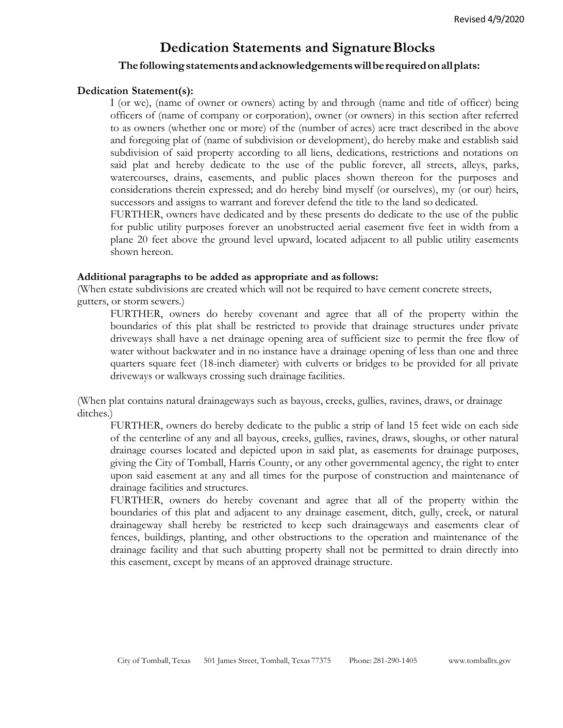# **Dedication Statements and SignatureBlocks**

# **Thefollowingstatementsandacknowledgementswillberequiredonallplats:**

### **Dedication Statement(s):**

I (or we), (name of owner or owners) acting by and through (name and title of officer) being officers of (name of company or corporation), owner (or owners) in this section after referred to as owners (whether one or more) of the (number of acres) acre tract described in the above and foregoing plat of (name of subdivision or development), do hereby make and establish said subdivision of said property according to all liens, dedications, restrictions and notations on said plat and hereby dedicate to the use of the public forever, all streets, alleys, parks, watercourses, drains, easements, and public places shown thereon for the purposes and considerations therein expressed; and do hereby bind myself (or ourselves), my (or our) heirs, successors and assigns to warrant and forever defend the title to the land so dedicated.

FURTHER, owners have dedicated and by these presents do dedicate to the use of the public for public utility purposes forever an unobstructed aerial easement five feet in width from a plane 20 feet above the ground level upward, located adjacent to all public utility easements shown hereon.

### **Additional paragraphs to be added as appropriate and as follows:**

(When estate subdivisions are created which will not be required to have cement concrete streets, gutters, or storm sewers.)

FURTHER, owners do hereby covenant and agree that all of the property within the boundaries of this plat shall be restricted to provide that drainage structures under private driveways shall have a net drainage opening area of sufficient size to permit the free flow of water without backwater and in no instance have a drainage opening of less than one and three quarters square feet (18-inch diameter) with culverts or bridges to be provided for all private driveways or walkways crossing such drainage facilities.

(When plat contains natural drainageways such as bayous, creeks, gullies, ravines, draws, or drainage ditches.)

FURTHER, owners do hereby dedicate to the public a strip of land 15 feet wide on each side of the centerline of any and all bayous, creeks, gullies, ravines, draws, sloughs, or other natural drainage courses located and depicted upon in said plat, as easements for drainage purposes, giving the City of Tomball, Harris County, or any other governmental agency, the right to enter upon said easement at any and all times for the purpose of construction and maintenance of drainage facilities and structures.

FURTHER, owners do hereby covenant and agree that all of the property within the boundaries of this plat and adjacent to any drainage easement, ditch, gully, creek, or natural drainageway shall hereby be restricted to keep such drainageways and easements clear of fences, buildings, planting, and other obstructions to the operation and maintenance of the drainage facility and that such abutting property shall not be permitted to drain directly into this easement, except by means of an approved drainage structure.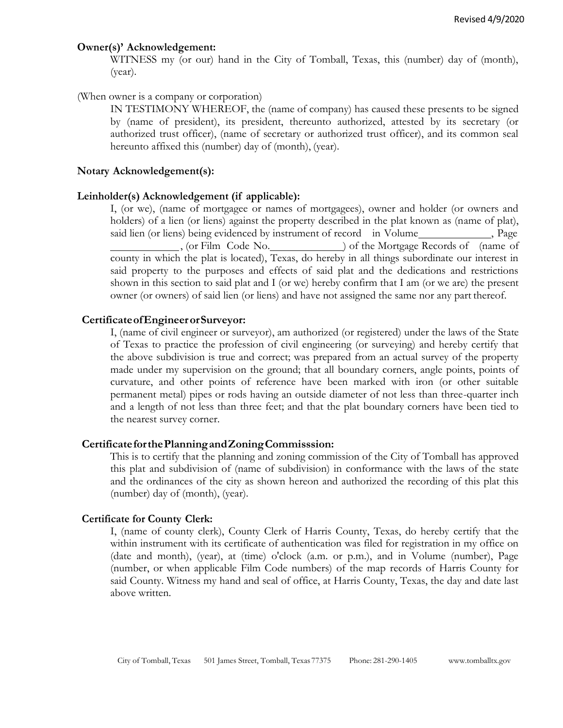#### **Owner(s)' Acknowledgement:**

WITNESS my (or our) hand in the City of Tomball, Texas, this (number) day of (month), (year).

#### (When owner is a company or corporation)

IN TESTIMONY WHEREOF, the (name of company) has caused these presents to be signed by (name of president), its president, thereunto authorized, attested by its secretary (or authorized trust officer), (name of secretary or authorized trust officer), and its common seal hereunto affixed this (number) day of (month), (year).

#### **Notary Acknowledgement(s):**

#### **Leinholder(s) Acknowledgement (if applicable):**

I, (or we), (name of mortgagee or names of mortgagees), owner and holder (or owners and holders) of a lien (or liens) against the property described in the plat known as (name of plat), said lien (or liens) being evidenced by instrument of record in Volume , Page , (or Film Code No. ) of the Mortgage Records of (name of county in which the plat is located), Texas, do hereby in all things subordinate our interest in said property to the purposes and effects of said plat and the dedications and restrictions shown in this section to said plat and I (or we) hereby confirm that I am (or we are) the present owner (or owners) of said lien (or liens) and have not assigned the same nor any part thereof.

#### **CertificateofEngineerorSurveyor:**

I, (name of civil engineer or surveyor), am authorized (or registered) under the laws of the State of Texas to practice the profession of civil engineering (or surveying) and hereby certify that the above subdivision is true and correct; was prepared from an actual survey of the property made under my supervision on the ground; that all boundary corners, angle points, points of curvature, and other points of reference have been marked with iron (or other suitable permanent metal) pipes or rods having an outside diameter of not less than three-quarter inch and a length of not less than three feet; and that the plat boundary corners have been tied to the nearest survey corner.

#### **CertificateforthePlanningandZoningCommisssion:**

This is to certify that the planning and zoning commission of the City of Tomball has approved this plat and subdivision of (name of subdivision) in conformance with the laws of the state and the ordinances of the city as shown hereon and authorized the recording of this plat this (number) day of (month), (year).

#### **Certificate for County Clerk:**

I, (name of county clerk), County Clerk of Harris County, Texas, do hereby certify that the within instrument with its certificate of authentication was filed for registration in my office on (date and month), (year), at (time) o'clock (a.m. or p.m.), and in Volume (number), Page (number, or when applicable Film Code numbers) of the map records of Harris County for said County. Witness my hand and seal of office, at Harris County, Texas, the day and date last above written.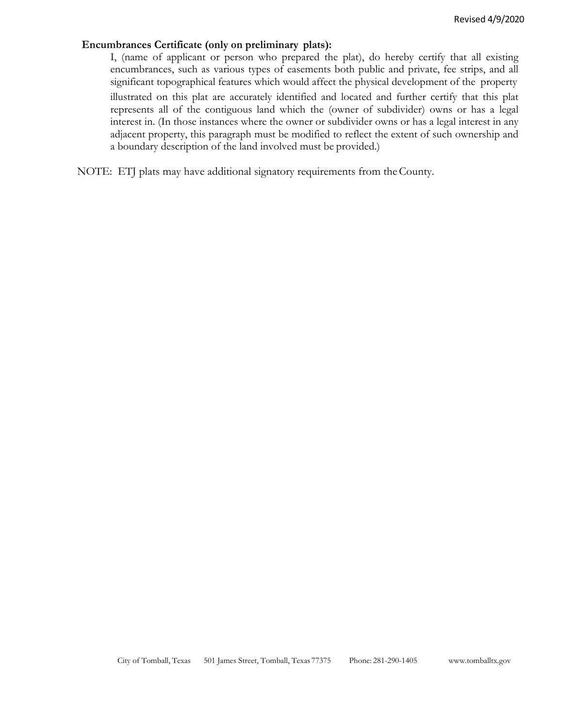#### **Encumbrances Certificate (only on preliminary plats):**

I, (name of applicant or person who prepared the plat), do hereby certify that all existing encumbrances, such as various types of easements both public and private, fee strips, and all significant topographical features which would affect the physical development of the property illustrated on this plat are accurately identified and located and further certify that this plat represents all of the contiguous land which the (owner of subdivider) owns or has a legal interest in. (In those instances where the owner or subdivider owns or has a legal interest in any adjacent property, this paragraph must be modified to reflect the extent of such ownership and a boundary description of the land involved must be provided.)

NOTE: ETJ plats may have additional signatory requirements from theCounty.